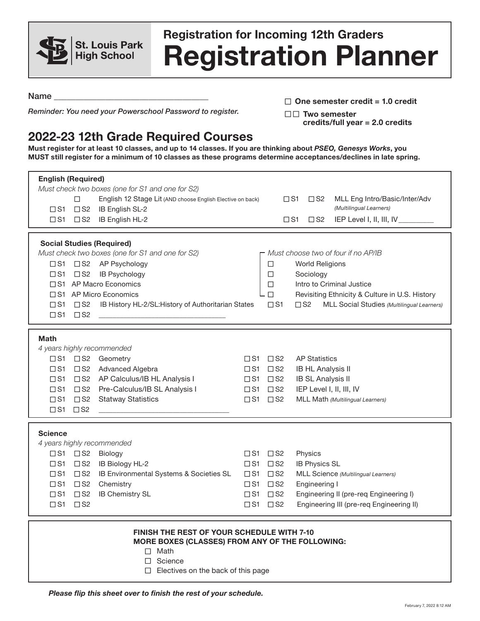

## **Registration Planner Registration for Incoming 12th Graders**

Name

*Reminder: You need your Powerschool Password to register.*

□ One semester credit = 1.0 credit

□□ Two semester **credits/full year = 2.0 credits**

## **2022-23 12th Grade Required Courses**

**Must register for at least 10 classes, and up to 14 classes. If you are thinking about** *PSEO, Genesys Works***, you MUST still register for a minimum of 10 classes as these programs determine acceptances/declines in late spring.**

| <b>English (Required)</b>                         |                                                            |                                                            |                                     |                             |                                                |                                            |  |  |
|---------------------------------------------------|------------------------------------------------------------|------------------------------------------------------------|-------------------------------------|-----------------------------|------------------------------------------------|--------------------------------------------|--|--|
|                                                   |                                                            | Must check two boxes (one for S1 and one for S2)           |                                     |                             |                                                |                                            |  |  |
|                                                   | $\Box$                                                     | English 12 Stage Lit (AND choose English Elective on back) |                                     |                             | $\square$ S1<br>$\square$ S2                   | MLL Eng Intro/Basic/Inter/Adv              |  |  |
| $\square$ S1                                      | (Multilingual Learners)<br>$\square$ S2<br>IB English SL-2 |                                                            |                                     |                             |                                                |                                            |  |  |
|                                                   |                                                            | □S1 □S2 IB English HL-2                                    |                                     |                             | $\square$ S1<br>$\square$ S2                   | IEP Level I, II, III, IV_                  |  |  |
|                                                   |                                                            |                                                            |                                     |                             |                                                |                                            |  |  |
| <b>Social Studies (Required)</b>                  |                                                            |                                                            |                                     |                             |                                                |                                            |  |  |
|                                                   |                                                            | Must check two boxes (one for S1 and one for S2)           | Must choose two of four if no AP/IB |                             |                                                |                                            |  |  |
| $\square$ S1                                      | □S2 AP Psychology                                          |                                                            |                                     | <b>World Religions</b><br>□ |                                                |                                            |  |  |
| $\square$ S1                                      | $\square$ S2<br>IB Psychology                              |                                                            |                                     | $\Box$<br>Sociology         |                                                |                                            |  |  |
| □ S1 AP Macro Economics                           |                                                            |                                                            |                                     |                             | Intro to Criminal Justice                      |                                            |  |  |
| □S1 AP Micro Economics                            |                                                            |                                                            |                                     |                             | Revisiting Ethnicity & Culture in U.S. History |                                            |  |  |
| $\square$ S1                                      | $\square$ S2                                               | IB History HL-2/SL: History of Authoritarian States        |                                     | $\Box$ S1                   | $\square$ S2                                   | MLL Social Studies (Multilingual Learners) |  |  |
| $\square$ S1                                      | $\square$ S2                                               |                                                            |                                     |                             |                                                |                                            |  |  |
|                                                   |                                                            |                                                            |                                     |                             |                                                |                                            |  |  |
| <b>Math</b>                                       |                                                            |                                                            |                                     |                             |                                                |                                            |  |  |
|                                                   |                                                            | 4 years highly recommended                                 |                                     |                             |                                                |                                            |  |  |
| $\square$ S1                                      |                                                            | □S2 Geometry                                               |                                     | $\square$ S1 $\square$ S2   | <b>AP Statistics</b>                           |                                            |  |  |
| $\square$ S1                                      | $\Box$ S2                                                  | Advanced Algebra                                           |                                     | $\square$ S1 $\square$ S2   | <b>IB HL Analysis II</b>                       |                                            |  |  |
| $\square$ S1                                      | $\square$ S2                                               | AP Calculus/IB HL Analysis I                               |                                     | $\square$ S1 $\square$ S2   | <b>IB SL Analysis II</b>                       |                                            |  |  |
| $\square$ S1                                      | $\square$ S2                                               | Pre-Calculus/IB SL Analysis I                              |                                     | $\square$ S1 $\square$ S2   | IEP Level I, II, III, IV                       |                                            |  |  |
| $\square$ S1                                      | $\square$ S2                                               | <b>Statway Statistics</b>                                  |                                     | $\square$ S1 $\square$ S2   |                                                | MLL Math (Multilingual Learners)           |  |  |
| $\square$ S1                                      | $\square$ S2                                               |                                                            |                                     |                             |                                                |                                            |  |  |
|                                                   |                                                            |                                                            |                                     |                             |                                                |                                            |  |  |
| <b>Science</b>                                    |                                                            |                                                            |                                     |                             |                                                |                                            |  |  |
| 4 years highly recommended                        |                                                            |                                                            |                                     |                             |                                                |                                            |  |  |
| $\square$ S1                                      | $\square$ S2                                               | Biology                                                    |                                     | $\square$ S1 $\square$ S2   | Physics                                        |                                            |  |  |
| $\square$ S1                                      | $\square$ S2                                               | IB Biology HL-2                                            |                                     | $\square$ S1 $\square$ S2   | <b>IB Physics SL</b>                           |                                            |  |  |
| $\square$ S1                                      | $\square$ S2                                               | IB Environmental Systems & Societies SL                    |                                     | $\square$ S1 $\square$ S2   |                                                | MLL Science (Multilingual Learners)        |  |  |
| $\square$ S1                                      | $\square$ S2                                               | Chemistry                                                  |                                     | $\square$ S1 $\square$ S2   | Engineering I                                  |                                            |  |  |
| $\square$ S1                                      | $\square$ S2                                               | <b>IB Chemistry SL</b>                                     |                                     | $\square$ S1 $\square$ S2   |                                                | Engineering II (pre-req Engineering I)     |  |  |
| $\square$ S1                                      | $\square$ S2                                               |                                                            |                                     | $\square$ S1 $\square$ S2   |                                                | Engineering III (pre-req Engineering II)   |  |  |
|                                                   |                                                            |                                                            |                                     |                             |                                                |                                            |  |  |
|                                                   |                                                            |                                                            |                                     |                             |                                                |                                            |  |  |
| <b>FINISH THE REST OF YOUR SCHEDULE WITH 7-10</b> |                                                            |                                                            |                                     |                             |                                                |                                            |  |  |
| MORE BOXES (CLASSES) FROM ANY OF THE FOLLOWING:   |                                                            |                                                            |                                     |                             |                                                |                                            |  |  |
| $\Box$ Math                                       |                                                            |                                                            |                                     |                             |                                                |                                            |  |  |
| Science<br>$\Box$                                 |                                                            |                                                            |                                     |                             |                                                |                                            |  |  |
| $\Box$ Electives on the back of this page         |                                                            |                                                            |                                     |                             |                                                |                                            |  |  |